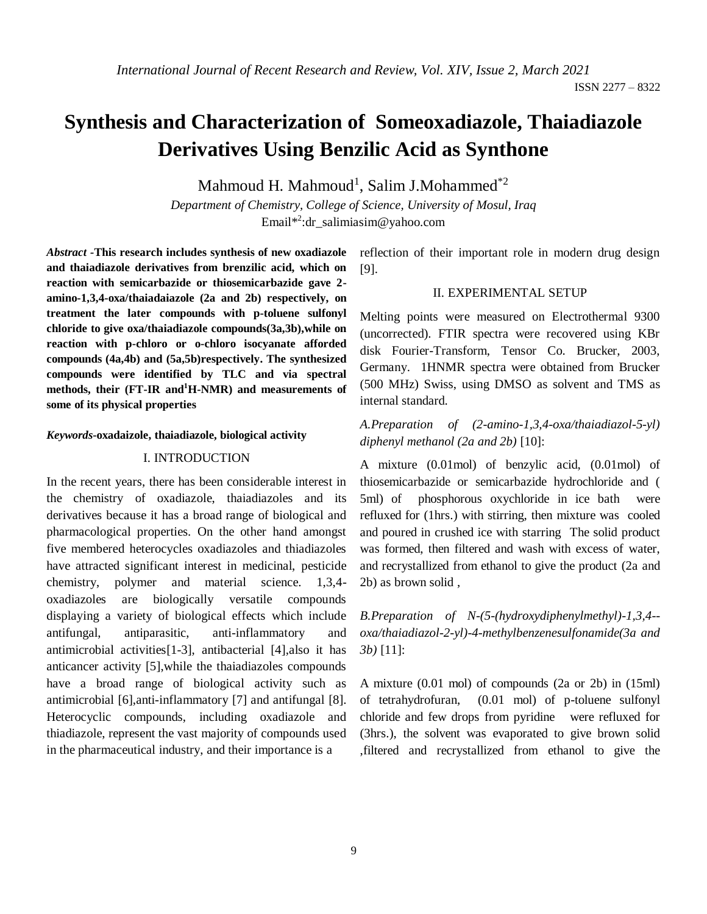ISSN 2277 – 8322

# **Synthesis and Characterization of Someoxadiazole, Thaiadiazole Derivatives Using Benzilic Acid as Synthone**

Mahmoud H. Mahmoud<sup>1</sup>, Salim J.Mohammed<sup>\*2</sup>

*Department of Chemistry, College of Science, University of Mosul, Iraq* Email\* 2 [:dr\\_salimiasim@yahoo.com](mailto:dr_salimiasim@yahoo.com)

*Abstract -***This research includes synthesis of new oxadiazole and thaiadiazole derivatives from brenzilic acid, which on reaction with semicarbazide or thiosemicarbazide gave 2 amino-1,3,4-oxa/thaiadaiazole (2a and 2b) respectively, on treatment the later compounds with p-toluene sulfonyl chloride to give oxa/thaiadiazole compounds(3a,3b),while on reaction with p-chloro or o-chloro isocyanate afforded compounds (4a,4b) and (5a,5b)respectively. The synthesized compounds were identified by TLC and via spectral methods, their (FT-IR and<sup>1</sup>H-NMR) and measurements of some of its physical properties**

#### *Keywords***-oxadaizole, thaiadiazole, biological activity**

### I. INTRODUCTION

In the recent years, there has been considerable interest in the chemistry of oxadiazole, thaiadiazoles and its derivatives because it has a broad range of biological and pharmacological properties. On the other hand amongst five membered heterocycles oxadiazoles and thiadiazoles have attracted significant interest in medicinal, pesticide chemistry, polymer and material science. 1,3,4 oxadiazoles are biologically versatile compounds displaying a variety of biological effects which include antifungal, antiparasitic, anti-inflammatory and antimicrobial activities[1-3], antibacterial [4],also it has anticancer activity [5],while the thaiadiazoles compounds have a broad range of biological activity such as antimicrobial [6],anti-inflammatory [7] and antifungal [8]. Heterocyclic compounds, including oxadiazole and thiadiazole, represent the vast majority of compounds used in the pharmaceutical industry, and their importance is a

reflection of their important role in modern drug design [9].

## II. EXPERIMENTAL SETUP

Melting points were measured on Electrothermal 9300 (uncorrected). FTIR spectra were recovered using KBr disk Fourier-Transform, Tensor Co. Brucker, 2003, Germany. 1HNMR spectra were obtained from Brucker (500 MHz) Swiss, using DMSO as solvent and TMS as internal standard.

*A.Preparation of (2-amino-1,3,4-oxa/thaiadiazol-5-yl) diphenyl methanol (2a and 2b)* [10]:

A mixture (0.01mol) of benzylic acid, (0.01mol) of thiosemicarbazide or semicarbazide hydrochloride and ( 5ml) of phosphorous oxychloride in ice bath were refluxed for (1hrs.) with stirring, then mixture was cooled and poured in crushed ice with starring The solid product was formed, then filtered and wash with excess of water, and recrystallized from ethanol to give the product (2a and 2b) as brown solid ,

*B.Preparation of N-(5-(hydroxydiphenylmethyl)-1,3,4- oxa/thaiadiazol-2-yl)-4-methylbenzenesulfonamide(3a and 3b)* [11]:

A mixture (0.01 mol) of compounds (2a or 2b) in (15ml) of tetrahydrofuran, (0.01 mol) of p-toluene sulfonyl chloride and few drops from pyridine were refluxed for (3hrs.), the solvent was evaporated to give brown solid ,filtered and recrystallized from ethanol to give the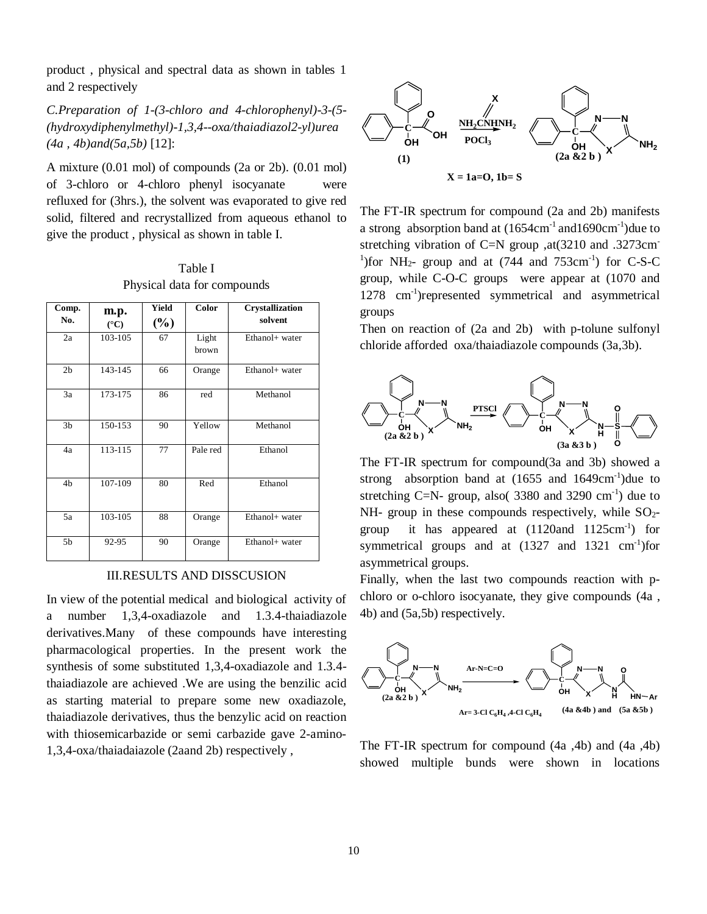product , physical and spectral data as shown in tables 1 and 2 respectively

*C.Preparation of 1-(3-chloro and 4-chlorophenyl)-3-(5- (hydroxydiphenylmethyl)-1,3,4--oxa/thaiadiazol2-yl)urea (4a , 4b)and(5a,5b)* [12]:

A mixture (0.01 mol) of compounds (2a or 2b). (0.01 mol) of 3-chloro or 4-chloro phenyl isocyanate were refluxed for (3hrs.), the solvent was evaporated to give red solid, filtered and recrystallized from aqueous ethanol to give the product , physical as shown in table I.

Table I Physical data for compounds

| Comp.          | m.p.            | Yield  | Color          | <b>Crystallization</b> |
|----------------|-----------------|--------|----------------|------------------------|
| No.            | $({}^{\circ}C)$ | $(\%)$ |                | solvent                |
| 2a             | 103-105         | 67     | Light<br>brown | Ethanol+ water         |
| 2 <sub>b</sub> | 143-145         | 66     | Orange         | Ethanol+ water         |
| 3a             | 173-175         | 86     | red            | Methanol               |
| 3 <sub>b</sub> | 150-153         | 90     | Yellow         | Methanol               |
| 4a             | 113-115         | 77     | Pale red       | Ethanol                |
| 4b             | 107-109         | 80     | Red            | Ethanol                |
| 5a             | 103-105         | 88     | Orange         | Ethanol+ water         |
| 5b             | 92-95           | 90     | Orange         | Ethanol+ water         |

III.RESULTS AND DISSCUSION

In view of the potential medical and biological activity of a number 1,3,4-oxadiazole and 1.3.4-thaiadiazole derivatives.Many of these compounds have interesting pharmacological properties. In the present work the synthesis of some substituted 1,3,4-oxadiazole and 1.3.4 thaiadiazole are achieved .We are using the benzilic acid as starting material to prepare some new oxadiazole, thaiadiazole derivatives, thus the benzylic acid on reaction with thiosemicarbazide or semi carbazide gave 2-amino-1,3,4-oxa/thaiadaiazole (2aand 2b) respectively ,



The FT-IR spectrum for compound (2a and 2b) manifests a strong absorption band at  $(1654 \text{cm}^{-1} \text{ and } 1690 \text{cm}^{-1})$ due to stretching vibration of C=N group ,at(3210 and .3273cm-<sup>1</sup>) for NH<sub>2</sub>- group and at  $(744 \text{ and } 753 \text{cm}^{-1})$  for C-S-C group, while C-O-C groups were appear at (1070 and 1278 cm-1 )represented symmetrical and asymmetrical groups

Then on reaction of (2a and 2b) with p-tolune sulfonyl chloride afforded oxa/thaiadiazole compounds (3a,3b).



The FT-IR spectrum for compound(3a and 3b) showed a strong absorption band at  $(1655 \text{ and } 1649 \text{cm}^{-1})$ due to stretching C=N- group, also( $3380$  and  $3290$  cm<sup>-1</sup>) due to  $NH-$  group in these compounds respectively, while  $SO<sub>2</sub>$ group it has appeared at  $(1120$ and  $1125$ cm<sup>-1</sup>) for symmetrical groups and at  $(1327 \text{ and } 1321 \text{ cm}^{-1})$ for asymmetrical groups.

Finally, when the last two compounds reaction with pchloro or o-chloro isocyanate, they give compounds (4a , 4b) and (5a,5b) respectively.



The FT-IR spectrum for compound (4a ,4b) and (4a ,4b) showed multiple bunds were shown in locations